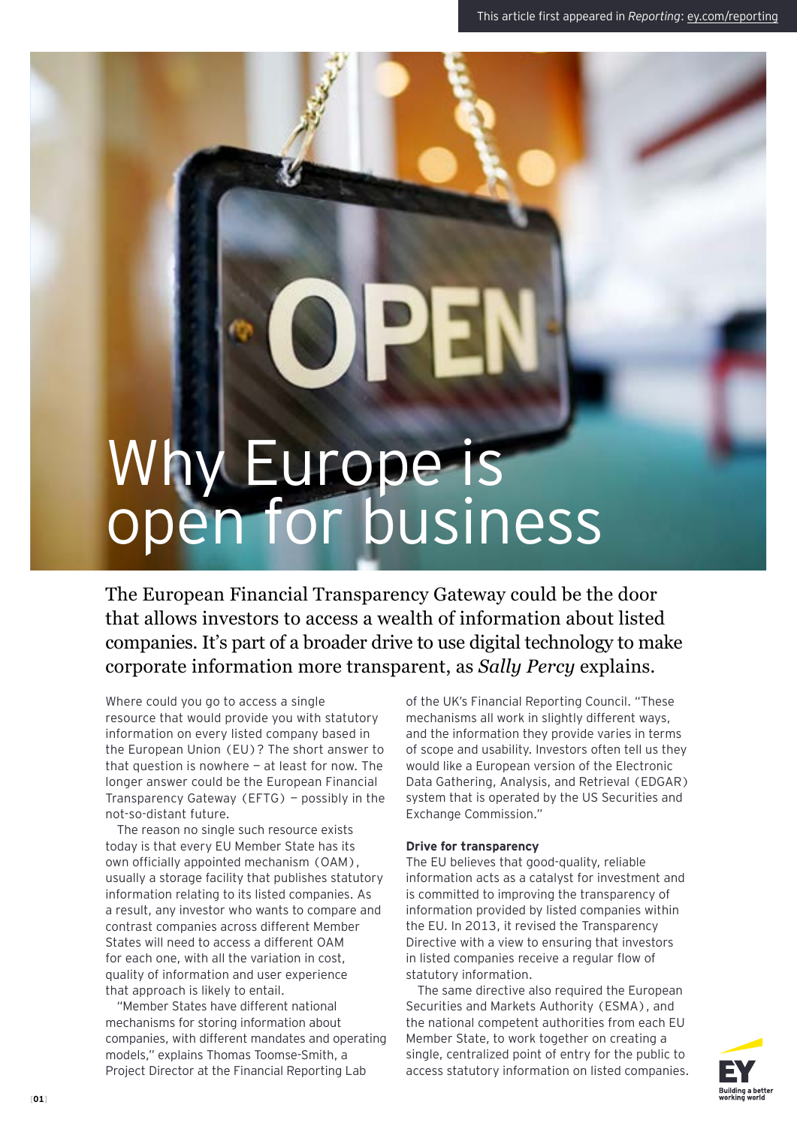# Why Europe is open for business

The European Financial Transparency Gateway could be the door that allows investors to access a wealth of information about listed companies. It's part of a broader drive to use digital technology to make corporate information more transparent, as *Sally Percy* explains.

Where could you go to access a single resource that would provide you with statutory information on every listed company based in the European Union (EU)? The short answer to that question is nowhere  $-$  at least for now. The longer answer could be the European Financial Transparency Gateway (EFTG) — possibly in the not-so-distant future.

The reason no single such resource exists today is that every EU Member State has its own officially appointed mechanism (OAM), usually a storage facility that publishes statutory information relating to its listed companies. As a result, any investor who wants to compare and contrast companies across different Member States will need to access a different OAM for each one, with all the variation in cost, quality of information and user experience that approach is likely to entail.

"Member States have different national mechanisms for storing information about companies, with different mandates and operating models," explains Thomas Toomse-Smith, a Project Director at the Financial Reporting Lab

of the UK's Financial Reporting Council. "These mechanisms all work in slightly different ways, and the information they provide varies in terms of scope and usability. Investors often tell us they would like a European version of the Electronic Data Gathering, Analysis, and Retrieval (EDGAR) system that is operated by the US Securities and Exchange Commission."

## **Drive for transparency**

The EU believes that good-quality, reliable information acts as a catalyst for investment and is committed to improving the transparency of information provided by listed companies within the EU. In 2013, it revised the Transparency Directive with a view to ensuring that investors in listed companies receive a regular flow of statutory information.

The same directive also required the European Securities and Markets Authority (ESMA), and the national competent authorities from each EU Member State, to work together on creating a single, centralized point of entry for the public to access statutory information on listed companies.

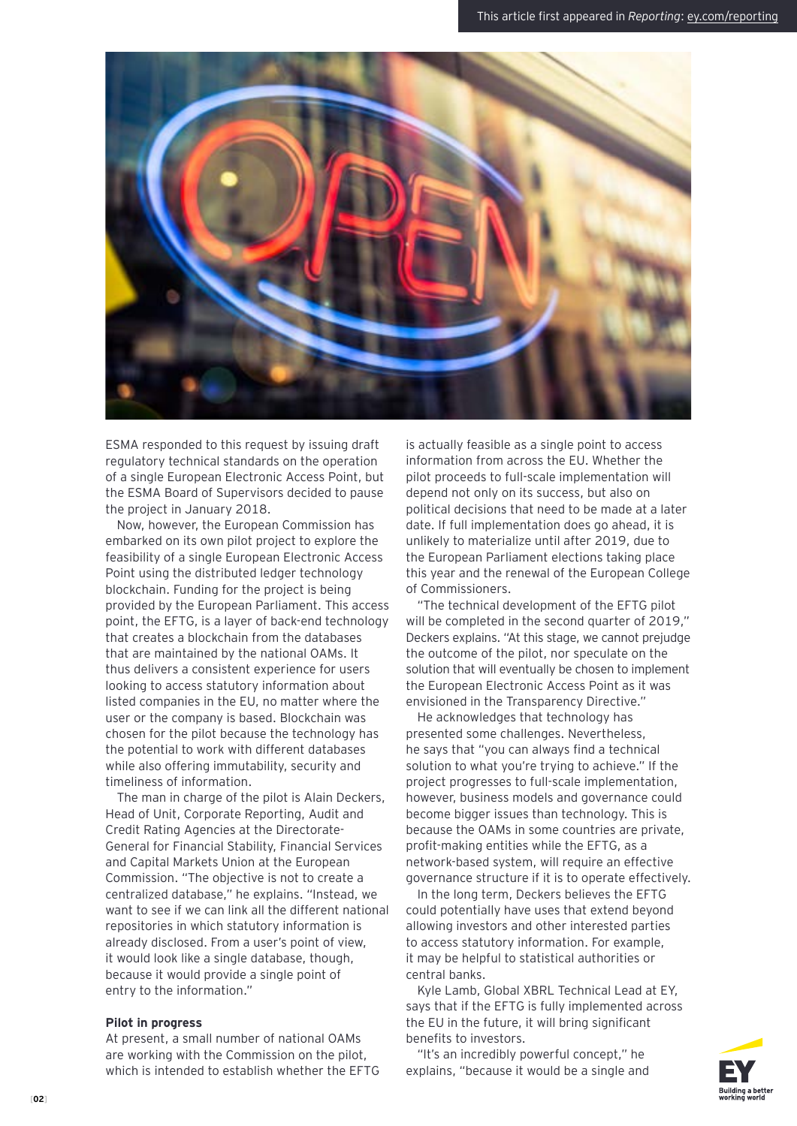

ESMA responded to this request by issuing draft regulatory technical standards on the operation of a single European Electronic Access Point, but the ESMA Board of Supervisors decided to pause the project in January 2018.

Now, however, the European Commission has embarked on its own pilot project to explore the feasibility of a single European Electronic Access Point using the distributed ledger technology blockchain. Funding for the project is being provided by the European Parliament. This access point, the EFTG, is a layer of back-end technology that creates a blockchain from the databases that are maintained by the national OAMs. It thus delivers a consistent experience for users looking to access statutory information about listed companies in the EU, no matter where the user or the company is based. Blockchain was chosen for the pilot because the technology has the potential to work with different databases while also offering immutability, security and timeliness of information.

The man in charge of the pilot is Alain Deckers, Head of Unit, Corporate Reporting, Audit and Credit Rating Agencies at the Directorate-General for Financial Stability, Financial Services and Capital Markets Union at the European Commission. "The objective is not to create a centralized database," he explains. "Instead, we want to see if we can link all the different national repositories in which statutory information is already disclosed. From a user's point of view, it would look like a single database, though, because it would provide a single point of entry to the information."

### **Pilot in progress**

At present, a small number of national OAMs are working with the Commission on the pilot, which is intended to establish whether the EFTG is actually feasible as a single point to access information from across the EU. Whether the pilot proceeds to full-scale implementation will depend not only on its success, but also on political decisions that need to be made at a later date. If full implementation does go ahead, it is unlikely to materialize until after 2019, due to the European Parliament elections taking place this year and the renewal of the European College of Commissioners.

"The technical development of the EFTG pilot will be completed in the second quarter of 2019," Deckers explains. "At this stage, we cannot prejudge the outcome of the pilot, nor speculate on the solution that will eventually be chosen to implement the European Electronic Access Point as it was envisioned in the Transparency Directive."

He acknowledges that technology has presented some challenges. Nevertheless, he says that "you can always find a technical solution to what you're trying to achieve." If the project progresses to full-scale implementation, however, business models and governance could become bigger issues than technology. This is because the OAMs in some countries are private, profit-making entities while the EFTG, as a network-based system, will require an effective governance structure if it is to operate effectively.

In the long term, Deckers believes the EFTG could potentially have uses that extend beyond allowing investors and other interested parties to access statutory information. For example, it may be helpful to statistical authorities or central banks.

Kyle Lamb, Global XBRL Technical Lead at EY, says that if the EFTG is fully implemented across the EU in the future, it will bring significant benefits to investors.

"It's an incredibly powerful concept," he explains, "because it would be a single and

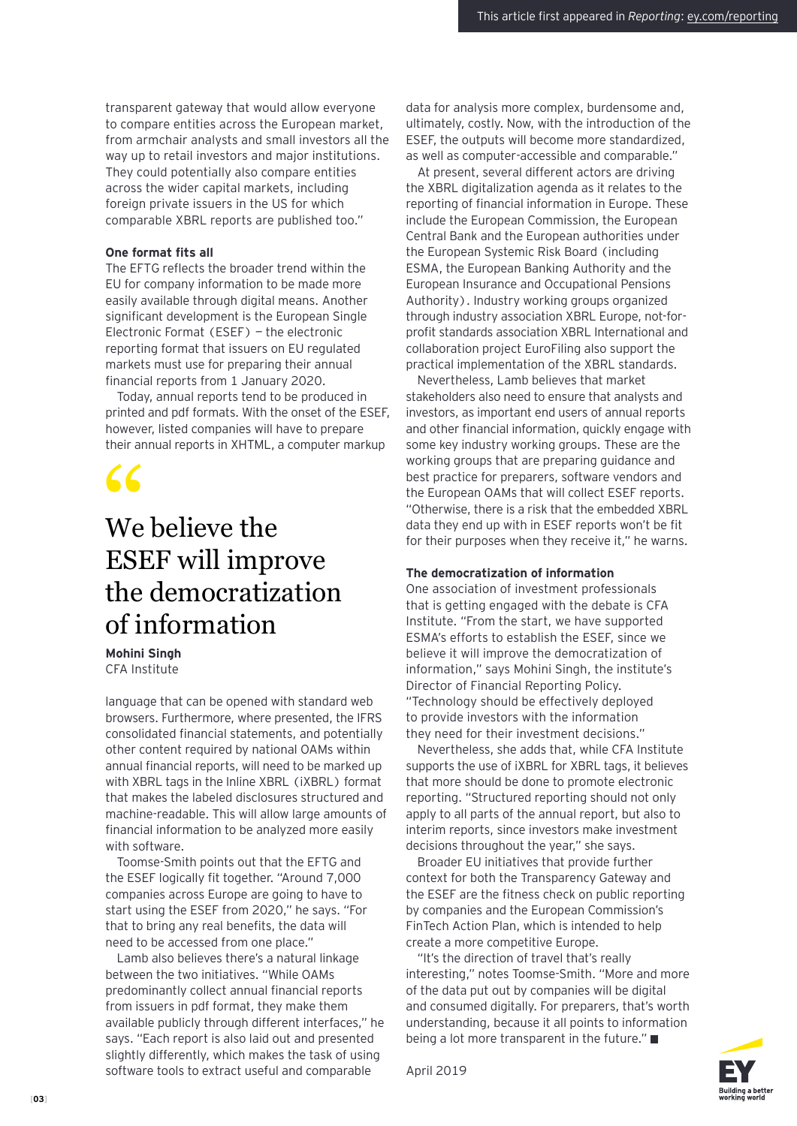transparent gateway that would allow everyone to compare entities across the European market, from armchair analysts and small investors all the way up to retail investors and major institutions. They could potentially also compare entities across the wider capital markets, including foreign private issuers in the US for which comparable XBRL reports are published too."

## **One format fits all**

The EFTG reflects the broader trend within the EU for company information to be made more easily available through digital means. Another significant development is the European Single Electronic Format (ESEF) — the electronic reporting format that issuers on EU regulated markets must use for preparing their annual financial reports from 1 January 2020.

Today, annual reports tend to be produced in printed and pdf formats. With the onset of the ESEF, however, listed companies will have to prepare their annual reports in XHTML, a computer markup

# We believe the ESEF will improve the democratization of information "

**Mohini Singh** CFA Institute

language that can be opened with standard web browsers. Furthermore, where presented, the IFRS consolidated financial statements, and potentially other content required by national OAMs within annual financial reports, will need to be marked up with XBRL tags in the Inline XBRL (iXBRL) format that makes the labeled disclosures structured and machine-readable. This will allow large amounts of financial information to be analyzed more easily with software.

Toomse-Smith points out that the EFTG and the ESEF logically fit together. "Around 7,000 companies across Europe are going to have to start using the ESEF from 2020," he says. "For that to bring any real benefits, the data will need to be accessed from one place."

Lamb also believes there's a natural linkage between the two initiatives. "While OAMs predominantly collect annual financial reports from issuers in pdf format, they make them available publicly through different interfaces," he says. "Each report is also laid out and presented slightly differently, which makes the task of using software tools to extract useful and comparable

data for analysis more complex, burdensome and, ultimately, costly. Now, with the introduction of the ESEF, the outputs will become more standardized, as well as computer-accessible and comparable."

At present, several different actors are driving the XBRL digitalization agenda as it relates to the reporting of financial information in Europe. These include the European Commission, the European Central Bank and the European authorities under the European Systemic Risk Board (including ESMA, the European Banking Authority and the European Insurance and Occupational Pensions Authority). Industry working groups organized through industry association XBRL Europe, not-forprofit standards association XBRL International and collaboration project EuroFiling also support the practical implementation of the XBRL standards.

Nevertheless, Lamb believes that market stakeholders also need to ensure that analysts and investors, as important end users of annual reports and other financial information, quickly engage with some key industry working groups. These are the working groups that are preparing guidance and best practice for preparers, software vendors and the European OAMs that will collect ESEF reports. "Otherwise, there is a risk that the embedded XBRL data they end up with in ESEF reports won't be fit for their purposes when they receive it," he warns.

### **The democratization of information**

One association of investment professionals that is getting engaged with the debate is CFA Institute. "From the start, we have supported ESMA's efforts to establish the ESEF, since we believe it will improve the democratization of information," says Mohini Singh, the institute's Director of Financial Reporting Policy. "Technology should be effectively deployed to provide investors with the information they need for their investment decisions."

Nevertheless, she adds that, while CFA Institute supports the use of iXBRL for XBRL tags, it believes that more should be done to promote electronic reporting. "Structured reporting should not only apply to all parts of the annual report, but also to interim reports, since investors make investment decisions throughout the year," she says.

Broader EU initiatives that provide further context for both the Transparency Gateway and the ESEF are the fitness check on public reporting by companies and the European Commission's FinTech Action Plan, which is intended to help create a more competitive Europe.

"It's the direction of travel that's really interesting," notes Toomse-Smith. "More and more of the data put out by companies will be digital and consumed digitally. For preparers, that's worth understanding, because it all points to information being a lot more transparent in the future."



April 2019